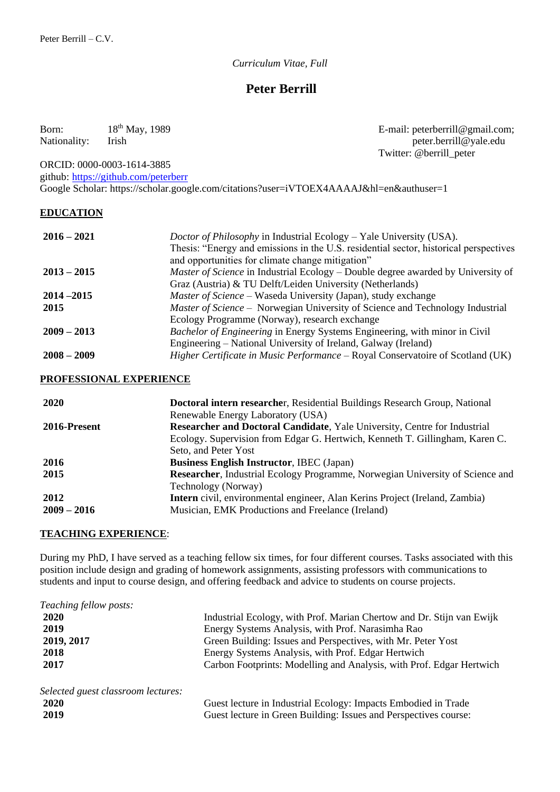#### *Curriculum Vitae, Full*

# **Peter Berrill**

# Born: 18<sup>th</sup> May, 1989 **E**-mail: peterberrill@gmail.com;

ORCID: 0000-0003-1614-3885

github: <https://github.com/peterberr>

Google Scholar: https://scholar.google.com/citations?user=iVTOEX4AAAAJ&hl=en&authuser=1

#### **EDUCATION**

| $2016 - 2021$ | <i>Doctor of Philosophy</i> in Industrial Ecology – Yale University (USA).              |
|---------------|-----------------------------------------------------------------------------------------|
|               | Thesis: "Energy and emissions in the U.S. residential sector, historical perspectives   |
|               | and opportunities for climate change mitigation"                                        |
| $2013 - 2015$ | <i>Master of Science</i> in Industrial Ecology – Double degree awarded by University of |
|               | Graz (Austria) & TU Delft/Leiden University (Netherlands)                               |
| $2014 - 2015$ | Master of Science - Waseda University (Japan), study exchange                           |
| 2015          | <i>Master of Science</i> – Norwegian University of Science and Technology Industrial    |
|               | Ecology Programme (Norway), research exchange                                           |
| $2009 - 2013$ | Bachelor of Engineering in Energy Systems Engineering, with minor in Civil              |
|               | Engineering – National University of Ireland, Galway (Ireland)                          |
| $2008 - 2009$ | Higher Certificate in Music Performance – Royal Conservatoire of Scotland (UK)          |

#### **PROFESSIONAL EXPERIENCE**

| 2020          | <b>Doctoral intern researcher, Residential Buildings Research Group, National</b>    |
|---------------|--------------------------------------------------------------------------------------|
|               | Renewable Energy Laboratory (USA)                                                    |
| 2016-Present  | Researcher and Doctoral Candidate, Yale University, Centre for Industrial            |
|               | Ecology. Supervision from Edgar G. Hertwich, Kenneth T. Gillingham, Karen C.         |
|               | Seto, and Peter Yost                                                                 |
| 2016          | <b>Business English Instructor, IBEC (Japan)</b>                                     |
| 2015          | <b>Researcher, Industrial Ecology Programme, Norwegian University of Science and</b> |
|               | Technology (Norway)                                                                  |
| 2012          | <b>Intern</b> civil, environmental engineer, Alan Kerins Project (Ireland, Zambia)   |
| $2009 - 2016$ | Musician, EMK Productions and Freelance (Ireland)                                    |

#### **TEACHING EXPERIENCE**:

During my PhD, I have served as a teaching fellow six times, for four different courses. Tasks associated with this position include design and grading of homework assignments, assisting professors with communications to students and input to course design, and offering feedback and advice to students on course projects.

| Teaching fellow posts:             |                                                                       |
|------------------------------------|-----------------------------------------------------------------------|
| <b>2020</b>                        | Industrial Ecology, with Prof. Marian Chertow and Dr. Stijn van Ewijk |
| 2019                               | Energy Systems Analysis, with Prof. Narasimha Rao                     |
| 2019, 2017                         | Green Building: Issues and Perspectives, with Mr. Peter Yost          |
| 2018                               | Energy Systems Analysis, with Prof. Edgar Hertwich                    |
| 2017                               | Carbon Footprints: Modelling and Analysis, with Prof. Edgar Hertwich  |
| Selected guest classroom lectures: |                                                                       |
| 2020                               | Guest lecture in Industrial Ecology: Impacts Embodied in Trade        |
| 2019                               | Guest lecture in Green Building: Issues and Perspectives course:      |

Nationality: Irish peter.berrill@yale.edu Twitter: @berrill\_peter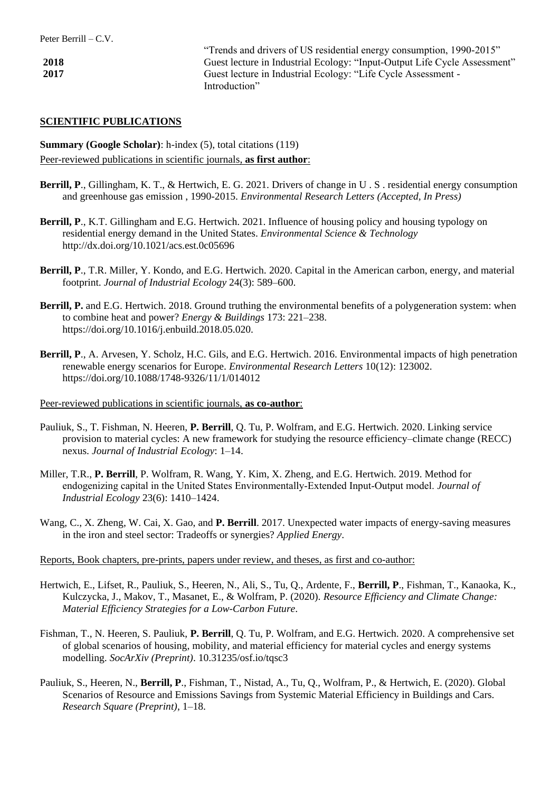"Trends and drivers of US residential energy consumption, 1990-2015" **2018** Guest lecture in Industrial Ecology: "Input-Output Life Cycle Assessment" **2017** Guest lecture in Industrial Ecology: "Life Cycle Assessment - Introduction"

#### **SCIENTIFIC PUBLICATIONS**

**Summary (Google Scholar)**: h-index (5), total citations (119) Peer-reviewed publications in scientific journals, **as first author**:

- **Berrill, P**., Gillingham, K. T., & Hertwich, E. G. 2021. Drivers of change in U . S . residential energy consumption and greenhouse gas emission , 1990-2015. *Environmental Research Letters (Accepted, In Press)*
- **Berrill, P**., K.T. Gillingham and E.G. Hertwich. 2021. Influence of housing policy and housing typology on residential energy demand in the United States. *Environmental Science & Technology* http://dx.doi.org/10.1021/acs.est.0c05696
- **Berrill, P**., T.R. Miller, Y. Kondo, and E.G. Hertwich. 2020. Capital in the American carbon, energy, and material footprint. *Journal of Industrial Ecology* 24(3): 589–600.
- **Berrill, P.** and E.G. Hertwich. 2018. Ground truthing the environmental benefits of a polygeneration system: when to combine heat and power? *Energy & Buildings* 173: 221–238. https://doi.org/10.1016/j.enbuild.2018.05.020.
- **Berrill, P**., A. Arvesen, Y. Scholz, H.C. Gils, and E.G. Hertwich. 2016. Environmental impacts of high penetration renewable energy scenarios for Europe. *Environmental Research Letters* 10(12): 123002. https://doi.org/10.1088/1748-9326/11/1/014012

Peer-reviewed publications in scientific journals, **as co-author**:

- Pauliuk, S., T. Fishman, N. Heeren, **P. Berrill**, Q. Tu, P. Wolfram, and E.G. Hertwich. 2020. Linking service provision to material cycles: A new framework for studying the resource efficiency–climate change (RECC) nexus. *Journal of Industrial Ecology*: 1–14.
- Miller, T.R., **P. Berrill**, P. Wolfram, R. Wang, Y. Kim, X. Zheng, and E.G. Hertwich. 2019. Method for endogenizing capital in the United States Environmentally‐Extended Input‐Output model. *Journal of Industrial Ecology* 23(6): 1410–1424.
- Wang, C., X. Zheng, W. Cai, X. Gao, and **P. Berrill**. 2017. Unexpected water impacts of energy-saving measures in the iron and steel sector: Tradeoffs or synergies? *Applied Energy*.

Reports, Book chapters, pre-prints, papers under review, and theses, as first and co-author:

- Hertwich, E., Lifset, R., Pauliuk, S., Heeren, N., Ali, S., Tu, Q., Ardente, F., **Berrill, P**., Fishman, T., Kanaoka, K., Kulczycka, J., Makov, T., Masanet, E., & Wolfram, P. (2020). *Resource Efficiency and Climate Change: Material Efficiency Strategies for a Low-Carbon Future*.
- Fishman, T., N. Heeren, S. Pauliuk, **P. Berrill**, Q. Tu, P. Wolfram, and E.G. Hertwich. 2020. A comprehensive set of global scenarios of housing, mobility, and material efficiency for material cycles and energy systems modelling. *SocArXiv (Preprint)*. 10.31235/osf.io/tqsc3
- Pauliuk, S., Heeren, N., **Berrill, P**., Fishman, T., Nistad, A., Tu, Q., Wolfram, P., & Hertwich, E. (2020). Global Scenarios of Resource and Emissions Savings from Systemic Material Efficiency in Buildings and Cars. *Research Square (Preprint)*, 1–18.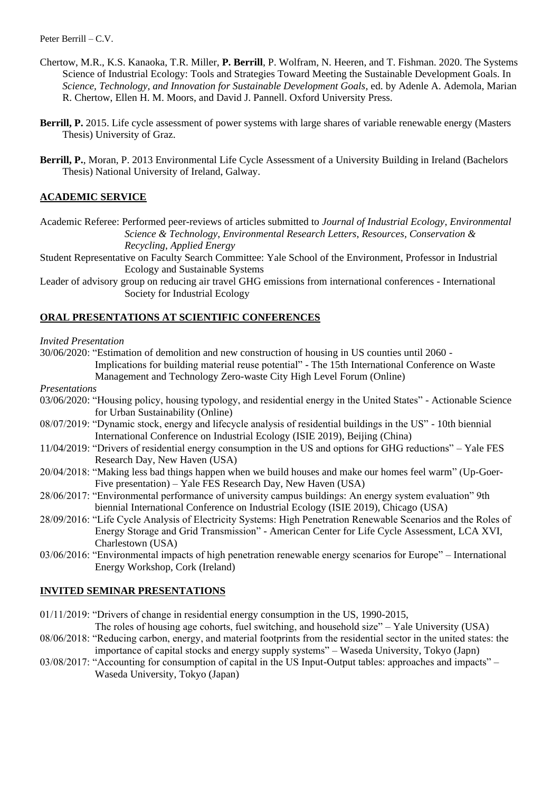Peter Berrill – C.V.

- Chertow, M.R., K.S. Kanaoka, T.R. Miller, **P. Berrill**, P. Wolfram, N. Heeren, and T. Fishman. 2020. The Systems Science of Industrial Ecology: Tools and Strategies Toward Meeting the Sustainable Development Goals. In *Science, Technology, and Innovation for Sustainable Development Goals*, ed. by Adenle A. Ademola, Marian R. Chertow, Ellen H. M. Moors, and David J. Pannell. Oxford University Press.
- **Berrill, P.** 2015. Life cycle assessment of power systems with large shares of variable renewable energy (Masters Thesis) University of Graz.
- **Berrill, P.**, Moran, P. 2013 Environmental Life Cycle Assessment of a University Building in Ireland (Bachelors Thesis) National University of Ireland, Galway.

## **ACADEMIC SERVICE**

Academic Referee: Performed peer-reviews of articles submitted to *Journal of Industrial Ecology*, *Environmental Science & Technology*, *Environmental Research Letters*, *Resources, Conservation & Recycling*, *Applied Energy*

Student Representative on Faculty Search Committee: Yale School of the Environment, Professor in Industrial Ecology and Sustainable Systems

Leader of advisory group on reducing air travel GHG emissions from international conferences - International Society for Industrial Ecology

## **ORAL PRESENTATIONS AT SCIENTIFIC CONFERENCES**

#### *Invited Presentation*

30/06/2020: "Estimation of demolition and new construction of housing in US counties until 2060 -

Implications for building material reuse potential" - The 15th International Conference on Waste Management and Technology Zero-waste City High Level Forum (Online)

*Presentations*

- 03/06/2020: "Housing policy, housing typology, and residential energy in the United States" Actionable Science for Urban Sustainability (Online)
- 08/07/2019: "Dynamic stock, energy and lifecycle analysis of residential buildings in the US" 10th biennial International Conference on Industrial Ecology (ISIE 2019), Beijing (China)
- 11/04/2019: "Drivers of residential energy consumption in the US and options for GHG reductions" Yale FES Research Day, New Haven (USA)
- 20/04/2018: "Making less bad things happen when we build houses and make our homes feel warm" (Up-Goer-Five presentation) – Yale FES Research Day, New Haven (USA)
- 28/06/2017: "Environmental performance of university campus buildings: An energy system evaluation" 9th biennial International Conference on Industrial Ecology (ISIE 2019), Chicago (USA)
- 28/09/2016: "Life Cycle Analysis of Electricity Systems: High Penetration Renewable Scenarios and the Roles of Energy Storage and Grid Transmission" - American Center for Life Cycle Assessment, LCA XVI, Charlestown (USA)
- 03/06/2016: "Environmental impacts of high penetration renewable energy scenarios for Europe" International Energy Workshop, Cork (Ireland)

#### **INVITED SEMINAR PRESENTATIONS**

01/11/2019: "Drivers of change in residential energy consumption in the US, 1990-2015,

- The roles of housing age cohorts, fuel switching, and household size" Yale University (USA) 08/06/2018: "Reducing carbon, energy, and material footprints from the residential sector in the united states: the
- importance of capital stocks and energy supply systems" Waseda University, Tokyo (Japn) 03/08/2017: "Accounting for consumption of capital in the US Input-Output tables: approaches and impacts" – Waseda University, Tokyo (Japan)